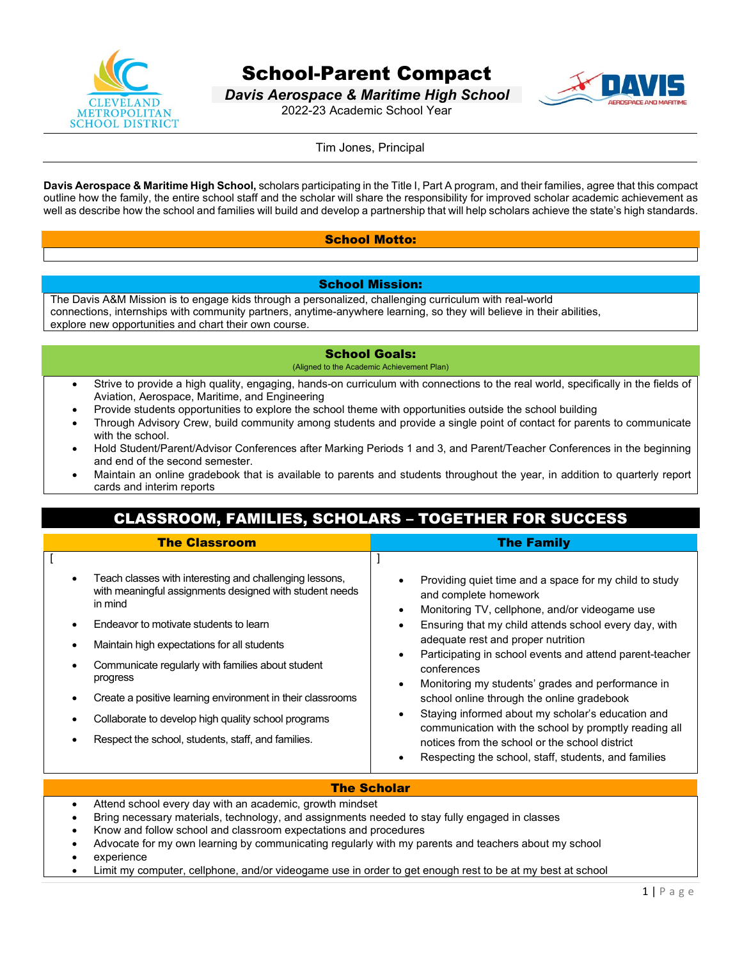

# School-Parent Compact

*Davis Aerospace & Maritime High School* 2022-23 Academic School Year



Tim Jones, Principal

**Davis Aerospace & Maritime High School,** scholars participating in the Title I, Part A program, and their families, agree that this compact outline how the family, the entire school staff and the scholar will share the responsibility for improved scholar academic achievement as well as describe how the school and families will build and develop a partnership that will help scholars achieve the state's high standards.

## School Motto:

#### School Mission:

The Davis A&M Mission is to engage kids through a personalized, challenging curriculum with real-world connections, internships with community partners, anytime-anywhere learning, so they will believe in their abilities, explore new opportunities and chart their own course.

#### School Goals:

(Aligned to the Academic Achievement Plan)

- Strive to provide a high quality, engaging, hands-on curriculum with connections to the real world, specifically in the fields of Aviation, Aerospace, Maritime, and Engineering
- Provide students opportunities to explore the school theme with opportunities outside the school building
- Through Advisory Crew, build community among students and provide a single point of contact for parents to communicate with the school.
- Hold Student/Parent/Advisor Conferences after Marking Periods 1 and 3, and Parent/Teacher Conferences in the beginning and end of the second semester.
- Maintain an online gradebook that is available to parents and students throughout the year, in addition to quarterly report cards and interim reports

# CLASSROOM, FAMILIES, SCHOLARS – TOGETHER FOR SUCCESS

| Teach classes with interesting and challenging lessons,<br>Providing quiet time and a space for my child to study<br>with meaningful assignments designed with student needs<br>and complete homework<br>in mind<br>Monitoring TV, cellphone, and/or videogame use<br>Endeavor to motivate students to learn<br>Ensuring that my child attends school every day, with<br>adequate rest and proper nutrition<br>Maintain high expectations for all students<br>Participating in school events and attend parent-teacher<br>Communicate regularly with families about student<br>conferences<br>progress<br>Monitoring my students' grades and performance in<br>Create a positive learning environment in their classrooms<br>school online through the online gradebook<br>Staying informed about my scholar's education and<br>Collaborate to develop high quality school programs<br>communication with the school by promptly reading all<br>Respect the school, students, staff, and families.<br>notices from the school or the school district<br>Respecting the school, staff, students, and families | <b>The Classroom</b> | <b>The Family</b> |
|--------------------------------------------------------------------------------------------------------------------------------------------------------------------------------------------------------------------------------------------------------------------------------------------------------------------------------------------------------------------------------------------------------------------------------------------------------------------------------------------------------------------------------------------------------------------------------------------------------------------------------------------------------------------------------------------------------------------------------------------------------------------------------------------------------------------------------------------------------------------------------------------------------------------------------------------------------------------------------------------------------------------------------------------------------------------------------------------------------------|----------------------|-------------------|
|                                                                                                                                                                                                                                                                                                                                                                                                                                                                                                                                                                                                                                                                                                                                                                                                                                                                                                                                                                                                                                                                                                              |                      |                   |

### The Scholar

- Attend school every day with an academic, growth mindset
- Bring necessary materials, technology, and assignments needed to stay fully engaged in classes
- Know and follow school and classroom expectations and procedures
- Advocate for my own learning by communicating regularly with my parents and teachers about my school
- **experience**
- Limit my computer, cellphone, and/or videogame use in order to get enough rest to be at my best at school